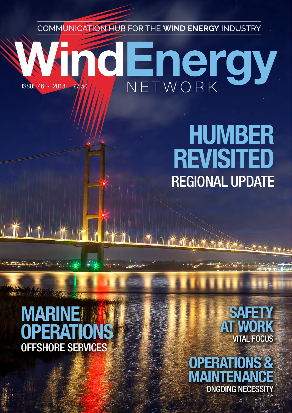COMMUNICATION HUB FOR THE **WIND ENERGY** INDUSTRY

# **aEnergy** ISSUE 46 - 2018 £7.50

## HUMBER REVISITED REGIONAL UPDATE

## **MARINE OPERATIO** OFFSHORE SERVICES

**SAFETY** AT WORK VITAL FOCUS

OPERATIONS & MAIN ONGOING NECESSITY